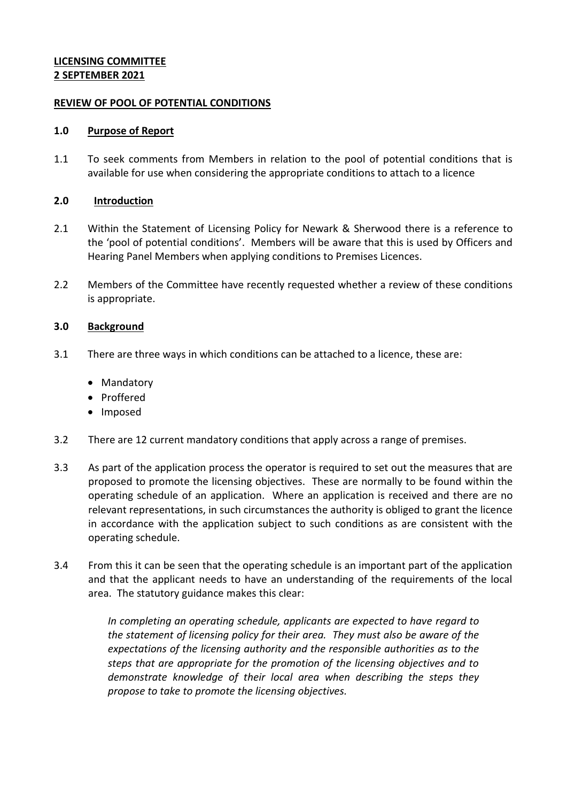# **LICENSING COMMITTEE 2 SEPTEMBER 2021**

# **REVIEW OF POOL OF POTENTIAL CONDITIONS**

### **1.0 Purpose of Report**

1.1 To seek comments from Members in relation to the pool of potential conditions that is available for use when considering the appropriate conditions to attach to a licence

## **2.0 Introduction**

- 2.1 Within the Statement of Licensing Policy for Newark & Sherwood there is a reference to the 'pool of potential conditions'. Members will be aware that this is used by Officers and Hearing Panel Members when applying conditions to Premises Licences.
- 2.2 Members of the Committee have recently requested whether a review of these conditions is appropriate.

# **3.0 Background**

- 3.1 There are three ways in which conditions can be attached to a licence, these are:
	- Mandatory
	- Proffered
	- Imposed
- 3.2 There are 12 current mandatory conditions that apply across a range of premises.
- 3.3 As part of the application process the operator is required to set out the measures that are proposed to promote the licensing objectives. These are normally to be found within the operating schedule of an application. Where an application is received and there are no relevant representations, in such circumstances the authority is obliged to grant the licence in accordance with the application subject to such conditions as are consistent with the operating schedule.
- 3.4 From this it can be seen that the operating schedule is an important part of the application and that the applicant needs to have an understanding of the requirements of the local area. The statutory guidance makes this clear:

*In completing an operating schedule, applicants are expected to have regard to the statement of licensing policy for their area. They must also be aware of the expectations of the licensing authority and the responsible authorities as to the steps that are appropriate for the promotion of the licensing objectives and to demonstrate knowledge of their local area when describing the steps they propose to take to promote the licensing objectives.*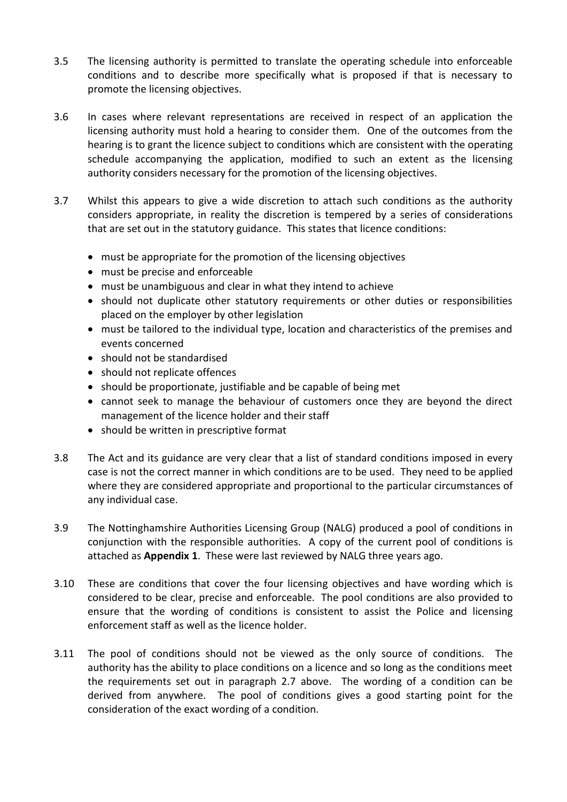- 3.5 The licensing authority is permitted to translate the operating schedule into enforceable conditions and to describe more specifically what is proposed if that is necessary to promote the licensing objectives.
- 3.6 In cases where relevant representations are received in respect of an application the licensing authority must hold a hearing to consider them. One of the outcomes from the hearing is to grant the licence subject to conditions which are consistent with the operating schedule accompanying the application, modified to such an extent as the licensing authority considers necessary for the promotion of the licensing objectives.
- 3.7 Whilst this appears to give a wide discretion to attach such conditions as the authority considers appropriate, in reality the discretion is tempered by a series of considerations that are set out in the statutory guidance. This states that licence conditions:
	- must be appropriate for the promotion of the licensing objectives
	- must be precise and enforceable
	- must be unambiguous and clear in what they intend to achieve
	- should not duplicate other statutory requirements or other duties or responsibilities placed on the employer by other legislation
	- must be tailored to the individual type, location and characteristics of the premises and events concerned
	- should not be standardised
	- should not replicate offences
	- should be proportionate, justifiable and be capable of being met
	- cannot seek to manage the behaviour of customers once they are beyond the direct management of the licence holder and their staff
	- should be written in prescriptive format
- 3.8 The Act and its guidance are very clear that a list of standard conditions imposed in every case is not the correct manner in which conditions are to be used. They need to be applied where they are considered appropriate and proportional to the particular circumstances of any individual case.
- 3.9 The Nottinghamshire Authorities Licensing Group (NALG) produced a pool of conditions in conjunction with the responsible authorities. A copy of the current pool of conditions is attached as **Appendix 1**. These were last reviewed by NALG three years ago.
- 3.10 These are conditions that cover the four licensing objectives and have wording which is considered to be clear, precise and enforceable. The pool conditions are also provided to ensure that the wording of conditions is consistent to assist the Police and licensing enforcement staff as well as the licence holder.
- 3.11 The pool of conditions should not be viewed as the only source of conditions. The authority has the ability to place conditions on a licence and so long as the conditions meet the requirements set out in paragraph 2.7 above. The wording of a condition can be derived from anywhere. The pool of conditions gives a good starting point for the consideration of the exact wording of a condition.